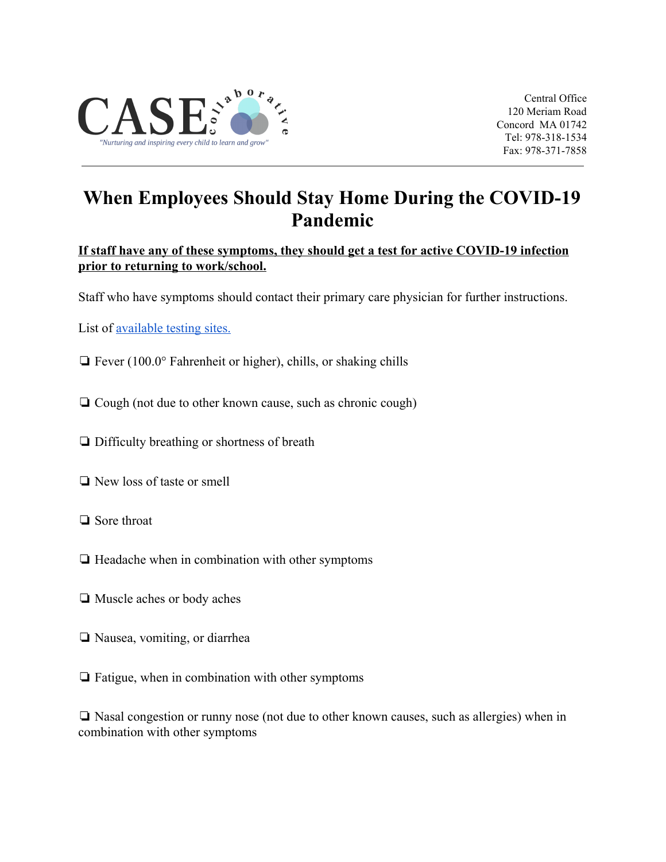

Central Office 120 Meriam Road Concord MA 01742 Tel: 978-318-1534 Fax: 978-371-7858

## **When Employees Should Stay Home During the COVID-19 Pandemic**

## **If staff have any of these symptoms, they should get a test for active COVID-19 infection prior to returning to work/school.**

Staff who have symptoms should contact their primary care physician for further instructions.

List of <u>available testing sites.</u>

- ❏ Fever (100.0° Fahrenheit or higher), chills, or shaking chills
- ❏ Cough (not due to other known cause, such as chronic cough)
- ❏ Difficulty breathing or shortness of breath
- ❏ New loss of taste or smell
- ❏ Sore throat
- ❏ Headache when in combination with other symptoms
- ❏ Muscle aches or body aches
- ❏ Nausea, vomiting, or diarrhea
- ❏ Fatigue, when in combination with other symptoms

❏ Nasal congestion or runny nose (not due to other known causes, such as allergies) when in combination with other symptoms